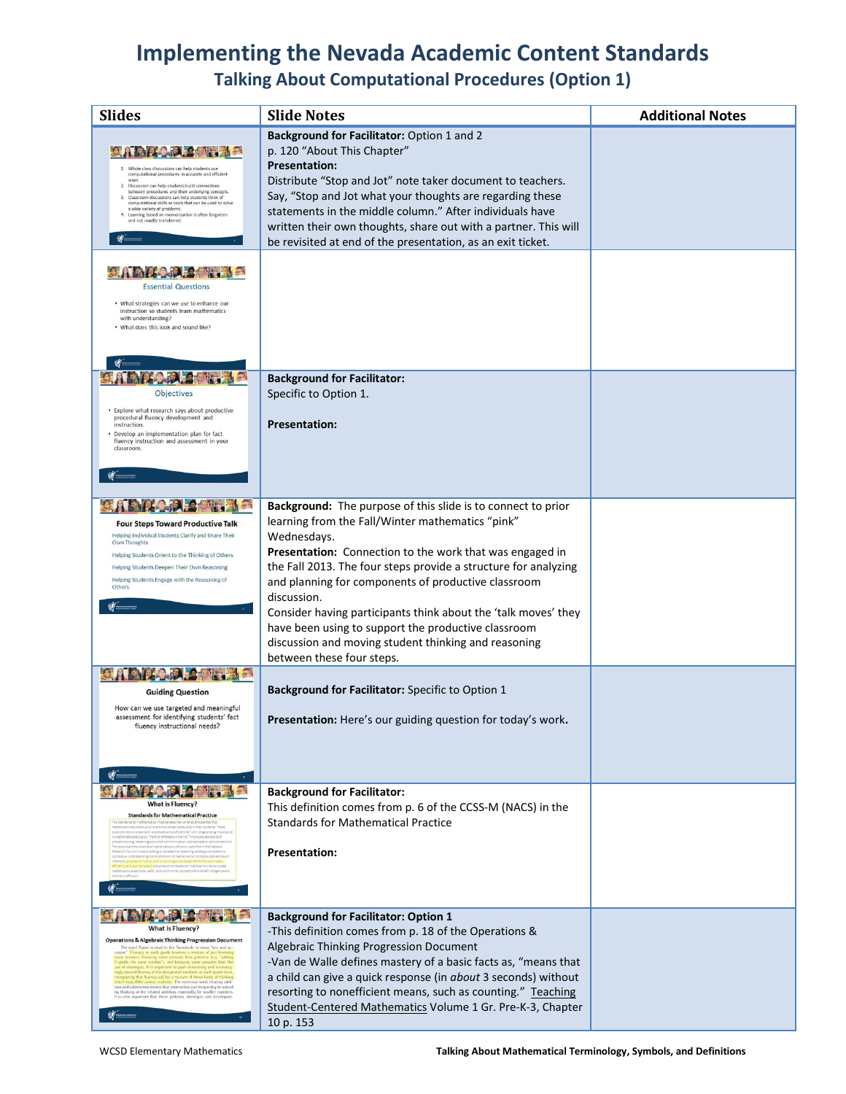# **Implementing the Nevada Academic Content Standards Talking About Computational Procedures (Option 1)**

| <b>Slides</b>                                                                                                                                                                                                                                                                                                                                                                                                                                                                                                                                                                                                                                                                                                                                                                                                | <b>Slide Notes</b>                                                                                                                                                                                                                                                                                                                                                                                                                                                                                                                                 | <b>Additional Notes</b> |
|--------------------------------------------------------------------------------------------------------------------------------------------------------------------------------------------------------------------------------------------------------------------------------------------------------------------------------------------------------------------------------------------------------------------------------------------------------------------------------------------------------------------------------------------------------------------------------------------------------------------------------------------------------------------------------------------------------------------------------------------------------------------------------------------------------------|----------------------------------------------------------------------------------------------------------------------------------------------------------------------------------------------------------------------------------------------------------------------------------------------------------------------------------------------------------------------------------------------------------------------------------------------------------------------------------------------------------------------------------------------------|-------------------------|
| Whole class discussions can help students use<br>computational procedures in accurate and efficient<br>ways.<br>2. Discussion can help students build connections<br>between procedures and their underlying concepts.<br>3. Classroom discussions can help students think of<br>computational skills as tools that can be used to solve<br>a wide variety of problems.<br>4. Learning based on memorization is often forgotten<br>and not readily transferred.<br><b>Essential Questions</b><br>. What strategies can we use to enhance our<br>instruction so students learn mathematics<br>with understanding?<br>. What does this look and sound like?                                                                                                                                                    | Background for Facilitator: Option 1 and 2<br>p. 120 "About This Chapter"<br><b>Presentation:</b><br>Distribute "Stop and Jot" note taker document to teachers.<br>Say, "Stop and Jot what your thoughts are regarding these<br>statements in the middle column." After individuals have<br>written their own thoughts, share out with a partner. This will<br>be revisited at end of the presentation, as an exit ticket.                                                                                                                         |                         |
| Objectives<br>. Explore what research says about productive<br>procedural fluency development and<br>instruction.<br>. Develop an implementation plan for fact<br>fluency instruction and assessment in your<br>classroom.                                                                                                                                                                                                                                                                                                                                                                                                                                                                                                                                                                                   | <b>Background for Facilitator:</b><br>Specific to Option 1.<br><b>Presentation:</b>                                                                                                                                                                                                                                                                                                                                                                                                                                                                |                         |
| <b>Four Steps Toward Productive Talk</b><br>Helping Individual Students Clarify and Share Their<br><b>Own Thoughts</b><br>Helping Students Orient to the Thinking of Others<br>Helping Students Deepen Their Own Reasoning<br>Helping Students Engage with the Reasoning of<br>Others                                                                                                                                                                                                                                                                                                                                                                                                                                                                                                                        | Background: The purpose of this slide is to connect to prior<br>learning from the Fall/Winter mathematics "pink"<br>Wednesdays.<br>Presentation: Connection to the work that was engaged in<br>the Fall 2013. The four steps provide a structure for analyzing<br>and planning for components of productive classroom<br>discussion.<br>Consider having participants think about the 'talk moves' they<br>have been using to support the productive classroom<br>discussion and moving student thinking and reasoning<br>between these four steps. |                         |
| <b>Guiding Question</b><br>How can we use targeted and meaningful<br>assessment for identifying students' fact<br>fluency instructional needs?                                                                                                                                                                                                                                                                                                                                                                                                                                                                                                                                                                                                                                                               | Background for Facilitator: Specific to Option 1<br>Presentation: Here's our guiding question for today's work.                                                                                                                                                                                                                                                                                                                                                                                                                                    |                         |
| <b>What is Fluency?</b><br><b>Standards for Mathematical Practice</b><br>ica educators at all levels should seek to develop in their students. The<br>practices rest on important "processes and proficiencies" with ignastanding importa-<br>ematics education. The first of these are the NCTM process standards of<br>objem solving reasoning and proof, communication, representation, and connection<br>he second are the strands of mathematical proficiency specified in the National<br>ci's report Adding it Up adaptive reasoning, strategic competent<br>rceptual understanding (comprehension of mathematical concepts, operations and<br>hematics as sensible, useful and worthwhile, coupled with a belief in dilaence and                                                                     | <b>Background for Facilitator:</b><br>This definition comes from p. 6 of the CCSS-M (NACS) in the<br><b>Standards for Mathematical Practice</b><br><b>Presentation:</b>                                                                                                                                                                                                                                                                                                                                                                            |                         |
| <b>What is Fluency?</b><br><b>Operations &amp; Algebraic Thinking Progression Document</b><br>The word fluent is used in the Standards to mean 'last and ac-<br>luency in each grade involves a mixture of just know<br>vers, knowing some ariswers from patterns (e.g. "add<br>uields the same number'), and knowing some answers from the<br>ies. It is important to push sen<br>sha toward fluency of the designated numbers at each grade let<br>nizing that fluency will be a mixture of these kinds of thinking<br>I may differ across students. The extensive work relating addi<br>tion and subtraction means that subtraction can frequently be solved<br>ig thinking of the related addition, especially for smaller numbers<br>i is also important that these patterns, strategies and decomposi- | <b>Background for Facilitator: Option 1</b><br>-This definition comes from p. 18 of the Operations &<br>Algebraic Thinking Progression Document<br>-Van de Walle defines mastery of a basic facts as, "means that<br>a child can give a quick response (in about 3 seconds) without<br>resorting to nonefficient means, such as counting." Teaching<br>Student-Centered Mathematics Volume 1 Gr. Pre-K-3, Chapter<br>10 p. 153                                                                                                                     |                         |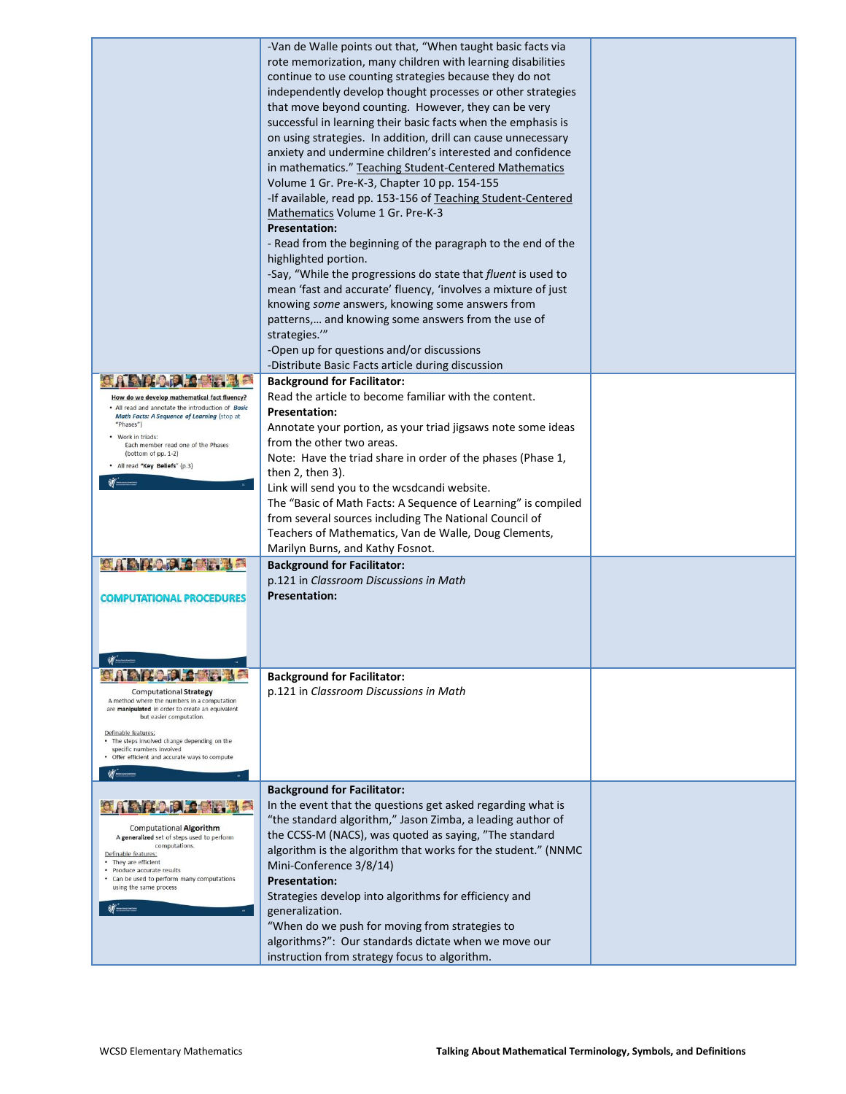|                                                                                                  | -Van de Walle points out that, "When taught basic facts via          |  |
|--------------------------------------------------------------------------------------------------|----------------------------------------------------------------------|--|
|                                                                                                  | rote memorization, many children with learning disabilities          |  |
|                                                                                                  | continue to use counting strategies because they do not              |  |
|                                                                                                  | independently develop thought processes or other strategies          |  |
|                                                                                                  | that move beyond counting. However, they can be very                 |  |
|                                                                                                  | successful in learning their basic facts when the emphasis is        |  |
|                                                                                                  | on using strategies. In addition, drill can cause unnecessary        |  |
|                                                                                                  | anxiety and undermine children's interested and confidence           |  |
|                                                                                                  | in mathematics." Teaching Student-Centered Mathematics               |  |
|                                                                                                  | Volume 1 Gr. Pre-K-3, Chapter 10 pp. 154-155                         |  |
|                                                                                                  | -If available, read pp. 153-156 of Teaching Student-Centered         |  |
|                                                                                                  | Mathematics Volume 1 Gr. Pre-K-3                                     |  |
|                                                                                                  | <b>Presentation:</b>                                                 |  |
|                                                                                                  | - Read from the beginning of the paragraph to the end of the         |  |
|                                                                                                  | highlighted portion.                                                 |  |
|                                                                                                  | -Say, "While the progressions do state that <i>fluent</i> is used to |  |
|                                                                                                  | mean 'fast and accurate' fluency, 'involves a mixture of just        |  |
|                                                                                                  | knowing some answers, knowing some answers from                      |  |
|                                                                                                  | patterns, and knowing some answers from the use of                   |  |
|                                                                                                  | strategies."                                                         |  |
|                                                                                                  | -Open up for questions and/or discussions                            |  |
|                                                                                                  | -Distribute Basic Facts article during discussion                    |  |
|                                                                                                  | <b>Background for Facilitator:</b>                                   |  |
| How do we develop mathematical fact fluency?                                                     | Read the article to become familiar with the content.                |  |
| • All read and annotate the introduction of Basic<br>Math Facts: A Sequence of Learning (stop at | <b>Presentation:</b>                                                 |  |
| "Phases")                                                                                        | Annotate your portion, as your triad jigsaws note some ideas         |  |
| • Work in triads:<br>Each member read one of the Phases                                          | from the other two areas.                                            |  |
| (bottom of pp. 1-2)                                                                              | Note: Have the triad share in order of the phases (Phase 1,          |  |
| · All read "Key Beliefs" (p.3)                                                                   | then $2$ , then $3$ ).                                               |  |
|                                                                                                  | Link will send you to the wcsdcandi website.                         |  |
|                                                                                                  | The "Basic of Math Facts: A Sequence of Learning" is compiled        |  |
|                                                                                                  | from several sources including The National Council of               |  |
|                                                                                                  | Teachers of Mathematics, Van de Walle, Doug Clements,                |  |
|                                                                                                  | Marilyn Burns, and Kathy Fosnot.                                     |  |
|                                                                                                  | <b>Background for Facilitator:</b>                                   |  |
|                                                                                                  | p.121 in Classroom Discussions in Math                               |  |
| <b>COMPUTATIONAL PROCEDURES</b>                                                                  | <b>Presentation:</b>                                                 |  |
|                                                                                                  |                                                                      |  |
|                                                                                                  |                                                                      |  |
|                                                                                                  |                                                                      |  |
|                                                                                                  |                                                                      |  |
|                                                                                                  | <b>Background for Facilitator:</b>                                   |  |
| <b>Computational Strategy</b>                                                                    | p.121 in Classroom Discussions in Math                               |  |
| A method where the numbers in a computation<br>are manipulated in order to create an equivalent  |                                                                      |  |
| but easier computation.                                                                          |                                                                      |  |
| Definable features:<br>• The steps involved change depending on the                              |                                                                      |  |
| specific numbers involved<br>Offer efficient and accurate ways to compute                        |                                                                      |  |
|                                                                                                  |                                                                      |  |
|                                                                                                  | <b>Background for Facilitator:</b>                                   |  |
|                                                                                                  | In the event that the questions get asked regarding what is          |  |
|                                                                                                  | "the standard algorithm," Jason Zimba, a leading author of           |  |
| <b>Computational Algorithm</b>                                                                   | the CCSS-M (NACS), was quoted as saying, "The standard               |  |
| A generalized set of steps used to perform<br>computations.                                      | algorithm is the algorithm that works for the student." (NNMC        |  |
| Definable features:<br>• They are efficient                                                      | Mini-Conference 3/8/14)                                              |  |
| · Produce accurate results<br>Can be used to perform many computations                           | <b>Presentation:</b>                                                 |  |
| using the same process                                                                           | Strategies develop into algorithms for efficiency and                |  |
|                                                                                                  | generalization.                                                      |  |
|                                                                                                  | "When do we push for moving from strategies to                       |  |
|                                                                                                  | algorithms?": Our standards dictate when we move our                 |  |
|                                                                                                  | instruction from strategy focus to algorithm.                        |  |
|                                                                                                  |                                                                      |  |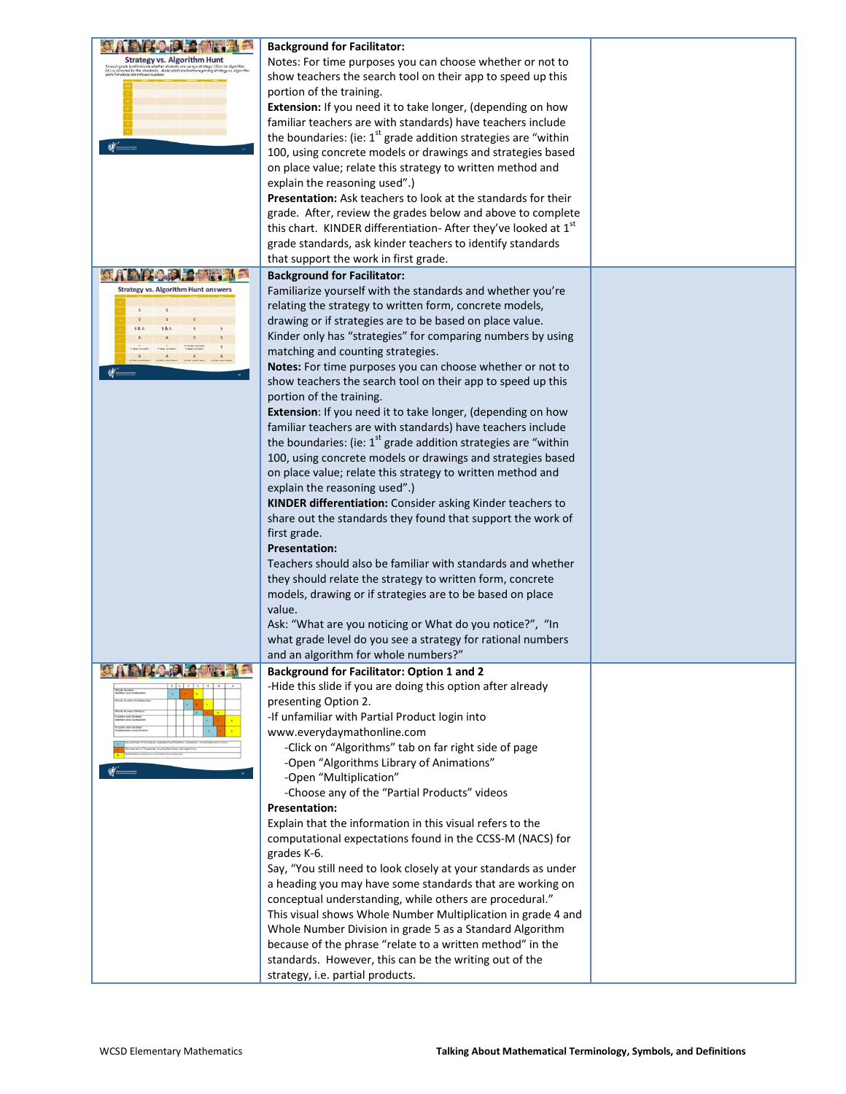|                                                                                     | <b>Background for Facilitator:</b>                                         |  |
|-------------------------------------------------------------------------------------|----------------------------------------------------------------------------|--|
| <b>Strategy vs. Algorithm Hunt</b>                                                  | Notes: For time purposes you can choose whether or not to                  |  |
| ) as directed by the standards. Make addition<br>ink for whole and rational numbers | show teachers the search tool on their app to speed up this                |  |
|                                                                                     | portion of the training.                                                   |  |
|                                                                                     | Extension: If you need it to take longer, (depending on how                |  |
|                                                                                     | familiar teachers are with standards) have teachers include                |  |
|                                                                                     | the boundaries: (ie: $1st$ grade addition strategies are "within           |  |
|                                                                                     |                                                                            |  |
|                                                                                     | 100, using concrete models or drawings and strategies based                |  |
|                                                                                     | on place value; relate this strategy to written method and                 |  |
|                                                                                     | explain the reasoning used".)                                              |  |
|                                                                                     | <b>Presentation:</b> Ask teachers to look at the standards for their       |  |
|                                                                                     | grade. After, review the grades below and above to complete                |  |
|                                                                                     | this chart. KINDER differentiation-After they've looked at 1st             |  |
|                                                                                     | grade standards, ask kinder teachers to identify standards                 |  |
|                                                                                     | that support the work in first grade.                                      |  |
|                                                                                     | <b>Background for Facilitator:</b>                                         |  |
| <b>Strategy vs. Algorithm Hunt answers</b>                                          | Familiarize yourself with the standards and whether you're                 |  |
|                                                                                     | relating the strategy to written form, concrete models,                    |  |
|                                                                                     | drawing or if strategies are to be based on place value.                   |  |
|                                                                                     | Kinder only has "strategies" for comparing numbers by using                |  |
|                                                                                     | matching and counting strategies.                                          |  |
|                                                                                     |                                                                            |  |
|                                                                                     | Notes: For time purposes you can choose whether or not to                  |  |
|                                                                                     | show teachers the search tool on their app to speed up this                |  |
|                                                                                     | portion of the training.                                                   |  |
|                                                                                     | Extension: If you need it to take longer, (depending on how                |  |
|                                                                                     | familiar teachers are with standards) have teachers include                |  |
|                                                                                     | the boundaries: (ie: 1 <sup>st</sup> grade addition strategies are "within |  |
|                                                                                     | 100, using concrete models or drawings and strategies based                |  |
|                                                                                     | on place value; relate this strategy to written method and                 |  |
|                                                                                     | explain the reasoning used".)                                              |  |
|                                                                                     | KINDER differentiation: Consider asking Kinder teachers to                 |  |
|                                                                                     | share out the standards they found that support the work of                |  |
|                                                                                     | first grade.                                                               |  |
|                                                                                     | <b>Presentation:</b>                                                       |  |
|                                                                                     | Teachers should also be familiar with standards and whether                |  |
|                                                                                     | they should relate the strategy to written form, concrete                  |  |
|                                                                                     |                                                                            |  |
|                                                                                     | models, drawing or if strategies are to be based on place                  |  |
|                                                                                     | value.                                                                     |  |
|                                                                                     | Ask: "What are you noticing or What do you notice?", "In                   |  |
|                                                                                     | what grade level do you see a strategy for rational numbers                |  |
|                                                                                     | and an algorithm for whole numbers?                                        |  |
|                                                                                     | <b>Background for Facilitator: Option 1 and 2</b>                          |  |
|                                                                                     | -Hide this slide if you are doing this option after already                |  |
|                                                                                     | presenting Option 2.                                                       |  |
|                                                                                     | -If unfamiliar with Partial Product login into                             |  |
|                                                                                     | www.everydaymathonline.com                                                 |  |
|                                                                                     | -Click on "Algorithms" tab on far right side of page                       |  |
|                                                                                     | -Open "Algorithms Library of Animations"                                   |  |
|                                                                                     | -Open "Multiplication"                                                     |  |
|                                                                                     | -Choose any of the "Partial Products" videos                               |  |
|                                                                                     | <b>Presentation:</b>                                                       |  |
|                                                                                     | Explain that the information in this visual refers to the                  |  |
|                                                                                     | computational expectations found in the CCSS-M (NACS) for                  |  |
|                                                                                     | grades K-6.                                                                |  |
|                                                                                     |                                                                            |  |
|                                                                                     | Say, "You still need to look closely at your standards as under            |  |
|                                                                                     | a heading you may have some standards that are working on                  |  |
|                                                                                     | conceptual understanding, while others are procedural."                    |  |
|                                                                                     | This visual shows Whole Number Multiplication in grade 4 and               |  |
|                                                                                     | Whole Number Division in grade 5 as a Standard Algorithm                   |  |
|                                                                                     | because of the phrase "relate to a written method" in the                  |  |
|                                                                                     | standards. However, this can be the writing out of the                     |  |
|                                                                                     | strategy, i.e. partial products.                                           |  |